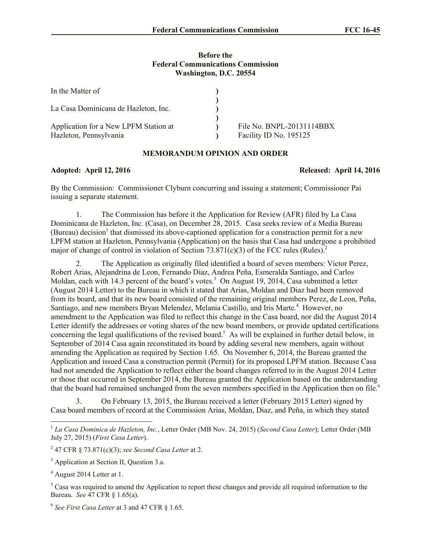### **Before the Federal Communications Commission Washington, D.C. 20554**

| In the Matter of                                                |                                                     |
|-----------------------------------------------------------------|-----------------------------------------------------|
| La Casa Dominicana de Hazleton, Inc.                            |                                                     |
| Application for a New LPFM Station at<br>Hazleton, Pennsylvania | File No. BNPL-20131114BBX<br>Facility ID No. 195125 |

# **MEMORANDUM OPINION AND ORDER**

# **Adopted: April 12, 2016 Released: April 14, 2016**

By the Commission: Commissioner Clyburn concurring and issuing a statement; Commissioner Pai issuing a separate statement.

1. The Commission has before it the Application for Review (AFR) filed by La Casa Dominicana de Hazleton, Inc. (Casa), on December 28, 2015. Casa seeks review of a Media Bureau (Bureau) decision<sup>1</sup> that dismissed its above-captioned application for a construction permit for a new LPFM station at Hazleton, Pennsylvania (Application) on the basis that Casa had undergone a prohibited major of change of control in violation of Section 73.871(c)(3) of the FCC rules (Rules).

2. The Application as originally filed identified a board of seven members: Victor Perez, Robert Arias, Alejandrina de Leon, Fernando Diaz, Andrea Peña, Esmeralda Santiago, and Carlos Moldan, each with 14.3 percent of the board's votes.<sup>3</sup> On August 19, 2014, Casa submitted a letter (August 2014 Letter) to the Bureau in which it stated that Arias, Moldan and Diaz had been removed from its board, and that its new board consisted of the remaining original members Perez, de Leon, Peña, Santiago, and new members Bryan Melendez, Melania Castillo, and Iris Marte.<sup>4</sup> However, no amendment to the Application was filed to reflect this change in the Casa board, nor did the August 2014 Letter identify the addresses or voting shares of the new board members, or provide updated certifications concerning the legal qualifications of the revised board.<sup>5</sup> As will be explained in further detail below, in September of 2014 Casa again reconstituted its board by adding several new members, again without amending the Application as required by Section 1.65. On November 6, 2014, the Bureau granted the Application and issued Casa a construction permit (Permit) for its proposed LPFM station. Because Casa had not amended the Application to reflect either the board changes referred to in the August 2014 Letter or those that occurred in September 2014, the Bureau granted the Application based on the understanding that the board had remained unchanged from the seven members specified in the Application then on file. 6

3. On February 13, 2015, the Bureau received a letter (February 2015 Letter) signed by Casa board members of record at the Commission Arias, Moldan, Diaz, and Peña, in which they stated

l

<sup>1</sup> *La Casa Dominica de Hazleton, Inc.*, Letter Order (MB Nov. 24, 2015) (*Second Casa Letter*); Letter Order (MB July 27, 2015) (*First Casa Letter*).

<sup>2</sup> 47 CFR § 73.871(c)(3); *see Second Casa Letter* at 2.

<sup>&</sup>lt;sup>3</sup> Application at Section II, Question 3.a.

<sup>4</sup> August 2014 Letter at 1.

 $<sup>5</sup>$  Casa was required to amend the Application to report these changes and provide all required information to the</sup> Bureau. *See* 47 CFR § 1.65(a).

<sup>6</sup> *See First Casa Letter* at 3 and 47 CFR § 1.65.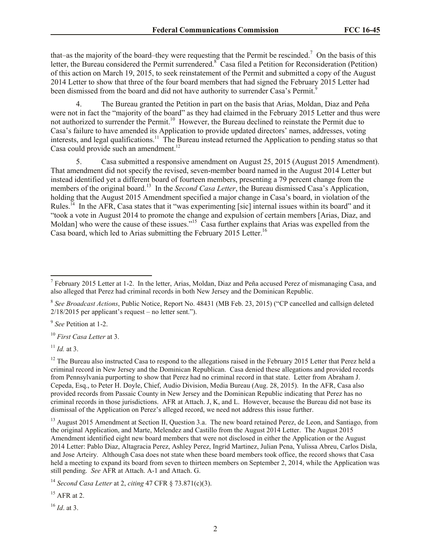that–as the majority of the board–they were requesting that the Permit be rescinded.<sup>7</sup> On the basis of this letter, the Bureau considered the Permit surrendered.<sup>8</sup> Casa filed a Petition for Reconsideration (Petition) of this action on March 19, 2015, to seek reinstatement of the Permit and submitted a copy of the August 2014 Letter to show that three of the four board members that had signed the February 2015 Letter had been dismissed from the board and did not have authority to surrender Casa's Permit.<sup>9</sup>

4. The Bureau granted the Petition in part on the basis that Arias, Moldan, Diaz and Peña were not in fact the "majority of the board" as they had claimed in the February 2015 Letter and thus were not authorized to surrender the Permit.<sup>10</sup> However, the Bureau declined to reinstate the Permit due to Casa's failure to have amended its Application to provide updated directors' names, addresses, voting interests, and legal qualifications.<sup>11</sup> The Bureau instead returned the Application to pending status so that Casa could provide such an amendment.<sup>12</sup>

5. Casa submitted a responsive amendment on August 25, 2015 (August 2015 Amendment). That amendment did not specify the revised, seven-member board named in the August 2014 Letter but instead identified yet a different board of fourteen members, presenting a 79 percent change from the members of the original board.<sup>13</sup> In the *Second Casa Letter*, the Bureau dismissed Casa's Application, holding that the August 2015 Amendment specified a major change in Casa's board, in violation of the Rules.<sup>14</sup> In the AFR, Casa states that it "was experimenting [sic] internal issues within its board" and it "took a vote in August 2014 to promote the change and expulsion of certain members [Arias, Diaz, and Moldan] who were the cause of these issues."<sup>15</sup> Casa further explains that Arias was expelled from the Casa board, which led to Arias submitting the February 2015 Letter.<sup>16</sup>

9 *See* Petition at 1-2.

<sup>10</sup> *First Casa Letter* at 3.

<sup>11</sup> *Id.* at 3.

<sup>13</sup> August 2015 Amendment at Section II, Question 3.a. The new board retained Perez, de Leon, and Santiago, from the original Application, and Marte, Melendez and Castillo from the August 2014 Letter. The August 2015 Amendment identified eight new board members that were not disclosed in either the Application or the August 2014 Letter: Pablo Diaz, Altagracia Perez, Ashley Perez, Ingrid Martinez, Julian Pena, Yulissa Abreu, Carlos Disla, and Jose Arteiry. Although Casa does not state when these board members took office, the record shows that Casa held a meeting to expand its board from seven to thirteen members on September 2, 2014, while the Application was still pending. *See* AFR at Attach. A-1 and Attach. G.

<sup>14</sup> *Second Casa Letter* at 2, *citing* 47 CFR § 73.871(c)(3).

<sup>16</sup> *Id*. at 3.

<sup>&</sup>lt;sup>7</sup> February 2015 Letter at 1-2. In the letter, Arias, Moldan, Diaz and Peña accused Perez of mismanaging Casa, and also alleged that Perez had criminal records in both New Jersey and the Dominican Republic.

<sup>&</sup>lt;sup>8</sup> See Broadcast Actions, Public Notice, Report No. 48431 (MB Feb. 23, 2015) ("CP cancelled and callsign deleted  $2/18/2015$  per applicant's request – no letter sent.").

 $12$  The Bureau also instructed Casa to respond to the allegations raised in the February 2015 Letter that Perez held a criminal record in New Jersey and the Dominican Republican. Casa denied these allegations and provided records from Pennsylvania purporting to show that Perez had no criminal record in that state. Letter from Abraham J. Cepeda, Esq., to Peter H. Doyle, Chief, Audio Division, Media Bureau (Aug. 28, 2015). In the AFR, Casa also provided records from Passaic County in New Jersey and the Dominican Republic indicating that Perez has no criminal records in those jurisdictions. AFR at Attach. J, K, and L. However, because the Bureau did not base its dismissal of the Application on Perez's alleged record, we need not address this issue further.

 $15$  AFR at 2.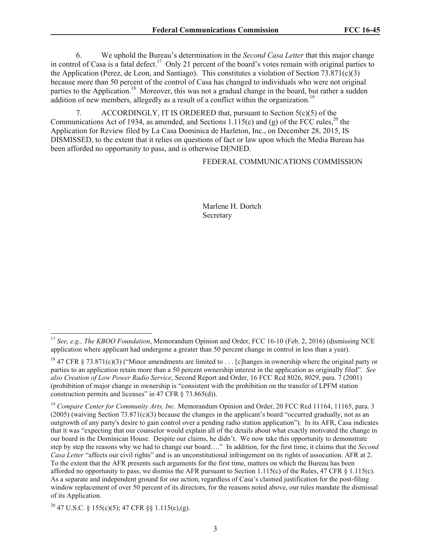6. We uphold the Bureau's determination in the *Second Casa Letter* that this major change in control of Casa is a fatal defect.<sup>17</sup> Only 21 percent of the board's votes remain with original parties to the Application (Perez, de Leon, and Santiago). This constitutes a violation of Section 73.871(c)(3) because more than 50 percent of the control of Casa has changed to individuals who were not original parties to the Application.<sup>18</sup> Moreover, this was not a gradual change in the board, but rather a sudden addition of new members, allegedly as a result of a conflict within the organization.<sup>19</sup>

7. ACCORDINGLY, IT IS ORDERED that, pursuant to Section 5(c)(5) of the Communications Act of 1934, as amended, and Sections 1.115(c) and (g) of the FCC rules,<sup>20</sup> the Application for Review filed by La Casa Dominica de Hazleton, Inc., on December 28, 2015, IS DISMISSED, to the extent that it relies on questions of fact or law upon which the Media Bureau has been afforded no opportunity to pass, and is otherwise DENIED.

FEDERAL COMMUNICATIONS COMMISSION

Marlene H. Dortch Secretary

l

<sup>17</sup> *See, e.g., The KBOO Foundation*, Memorandum Opinion and Order, FCC 16-10 (Feb. 2, 2016) (dismissing NCE application where applicant had undergone a greater than 50 percent change in control in less than a year).

<sup>&</sup>lt;sup>18</sup> 47 CFR § 73.871(c)(3) ("Minor amendments are limited to . . . [c]hanges in ownership where the original party or parties to an application retain more than a 50 percent ownership interest in the application as originally filed". *See also Creation of Low Power Radio Service*, Second Report and Order, 16 FCC Rcd 8026, 8029, para. 7 (2001) (prohibition of major change in ownership is "consistent with the prohibition on the transfer of LPFM station construction permits and licenses" in 47 CFR § 73.865(d)).

<sup>&</sup>lt;sup>19</sup> *Compare Center for Community Arts, Inc.* Memorandum Opinion and Order, 20 FCC Rcd 11164, 11165, para. 3 (2005) (waiving Section 73.871(c)(3) because the changes in the applicant's board "occurred gradually, not as an outgrowth of any party's desire to gain control over a pending radio station application"). In its AFR, Casa indicates that it was "expecting that our counselor would explain all of the details about what exactly motivated the change in our board in the Dominican House. Despite our claims, he didn't. We now take this opportunity to demonstrate step by step the reasons why we had to change our board…." In addition, for the first time, it claims that the *Second Casa Letter* "affects our civil rights" and is an unconstitutional infringement on its rights of association. AFR at 2. To the extent that the AFR presents such arguments for the first time, matters on which the Bureau has been afforded no opportunity to pass, we dismiss the AFR pursuant to Section 1.115(c) of the Rules, 47 CFR  $\S$  1.115(c). As a separate and independent ground for our action, regardless of Casa's claimed justification for the post-filing window replacement of over 50 percent of its directors, for the reasons noted above, our rules mandate the dismissal of its Application.

<sup>&</sup>lt;sup>20</sup> 47 U.S.C. § 155(c)(5); 47 CFR §§ 1.115(c),(g).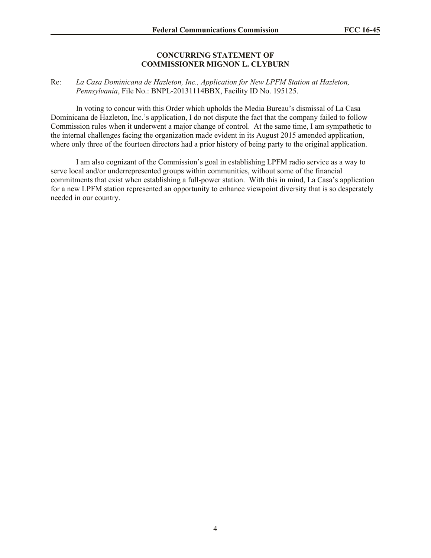#### **CONCURRING STATEMENT OF COMMISSIONER MIGNON L. CLYBURN**

## Re: *La Casa Dominicana de Hazleton, Inc., Application for New LPFM Station at Hazleton, Pennsylvania*, File No.: BNPL-20131114BBX, Facility ID No. 195125.

In voting to concur with this Order which upholds the Media Bureau's dismissal of La Casa Dominicana de Hazleton, Inc.'s application, I do not dispute the fact that the company failed to follow Commission rules when it underwent a major change of control. At the same time, I am sympathetic to the internal challenges facing the organization made evident in its August 2015 amended application, where only three of the fourteen directors had a prior history of being party to the original application.

I am also cognizant of the Commission's goal in establishing LPFM radio service as a way to serve local and/or underrepresented groups within communities, without some of the financial commitments that exist when establishing a full-power station. With this in mind, La Casa's application for a new LPFM station represented an opportunity to enhance viewpoint diversity that is so desperately needed in our country.